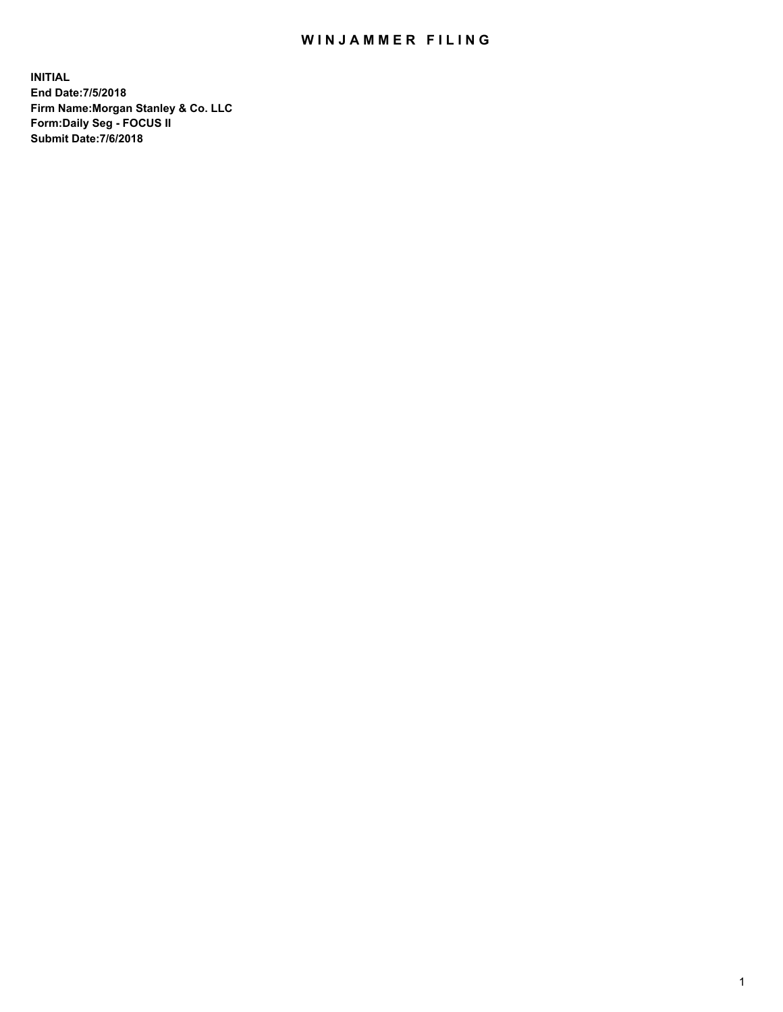## WIN JAMMER FILING

**INITIAL End Date:7/5/2018 Firm Name:Morgan Stanley & Co. LLC Form:Daily Seg - FOCUS II Submit Date:7/6/2018**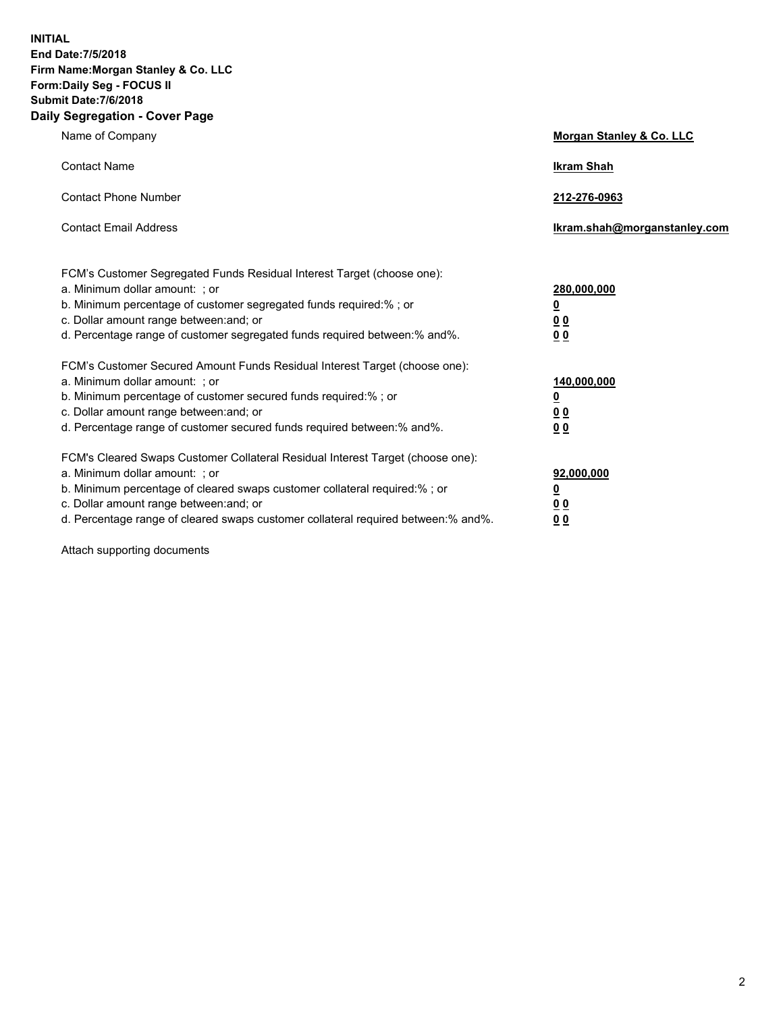**INITIAL End Date:7/5/2018 Firm Name:Morgan Stanley & Co. LLC Form:Daily Seg - FOCUS II Submit Date:7/6/2018 Daily Segregation - Cover Page**

| Name of Company                                                                                                              | Morgan Stanley & Co. LLC     |
|------------------------------------------------------------------------------------------------------------------------------|------------------------------|
| <b>Contact Name</b>                                                                                                          | <b>Ikram Shah</b>            |
| <b>Contact Phone Number</b>                                                                                                  | 212-276-0963                 |
| <b>Contact Email Address</b>                                                                                                 | Ikram.shah@morganstanley.com |
| FCM's Customer Segregated Funds Residual Interest Target (choose one):                                                       |                              |
| a. Minimum dollar amount: ; or                                                                                               | 280,000,000                  |
| b. Minimum percentage of customer segregated funds required:%; or                                                            | <u>0</u>                     |
| c. Dollar amount range between: and; or                                                                                      | <u>00</u>                    |
| d. Percentage range of customer segregated funds required between:% and%.                                                    | <u>00</u>                    |
| FCM's Customer Secured Amount Funds Residual Interest Target (choose one):                                                   |                              |
| a. Minimum dollar amount: ; or                                                                                               | 140,000,000                  |
| b. Minimum percentage of customer secured funds required:%; or                                                               | <u>0</u>                     |
| c. Dollar amount range between: and; or                                                                                      | <u>00</u>                    |
| d. Percentage range of customer secured funds required between: % and %.                                                     | 0 <sub>0</sub>               |
| FCM's Cleared Swaps Customer Collateral Residual Interest Target (choose one):                                               |                              |
| a. Minimum dollar amount: ; or                                                                                               | 92,000,000                   |
| b. Minimum percentage of cleared swaps customer collateral required:% ; or                                                   | <u>0</u>                     |
| c. Dollar amount range between: and; or<br>d. Percentage range of cleared swaps customer collateral required between:% and%. | 00                           |
|                                                                                                                              | 00                           |

Attach supporting documents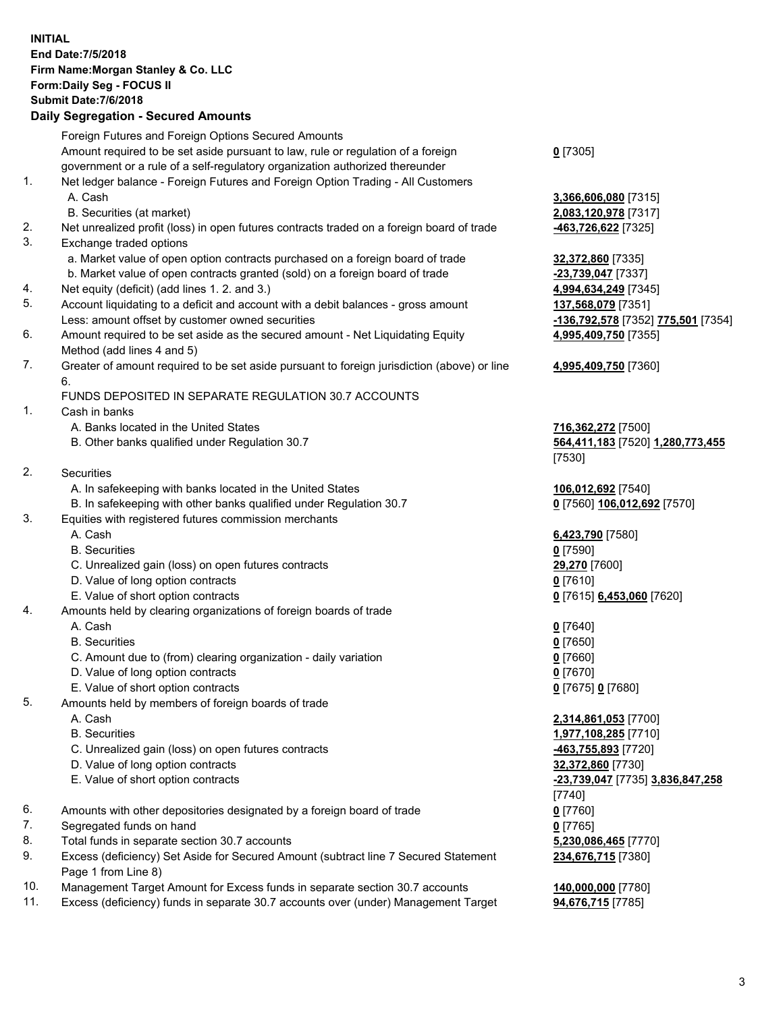## **INITIAL End Date:7/5/2018 Firm Name:Morgan Stanley & Co. LLC Form:Daily Seg - FOCUS II Submit Date:7/6/2018 Daily Segregation - Secured Amounts** Foreign Futures and Foreign Options Secured Amounts Amount required to be set aside pursuant to law, rule or regulation of a foreign government or a rule of a self-regulatory organization authorized thereunder **0** [7305] 1. Net ledger balance - Foreign Futures and Foreign Option Trading - All Customers A. Cash **3,366,606,080** [7315] B. Securities (at market) **2,083,120,978** [7317] 2. Net unrealized profit (loss) in open futures contracts traded on a foreign board of trade **-463,726,622** [7325] 3. Exchange traded options a. Market value of open option contracts purchased on a foreign board of trade **32,372,860** [7335] b. Market value of open contracts granted (sold) on a foreign board of trade **-23,739,047** [7337] 4. Net equity (deficit) (add lines 1. 2. and 3.) **4,994,634,249** [7345] 5. Account liquidating to a deficit and account with a debit balances - gross amount **137,568,079** [7351] Less: amount offset by customer owned securities **-136,792,578** [7352] **775,501** [7354] 6. Amount required to be set aside as the secured amount - Net Liquidating Equity Method (add lines 4 and 5) **4,995,409,750** [7355] 7. Greater of amount required to be set aside pursuant to foreign jurisdiction (above) or line 6. **4,995,409,750** [7360] FUNDS DEPOSITED IN SEPARATE REGULATION 30.7 ACCOUNTS 1. Cash in banks A. Banks located in the United States **716,362,272** [7500] B. Other banks qualified under Regulation 30.7 **564,411,183** [7520] **1,280,773,455** [7530] 2. Securities A. In safekeeping with banks located in the United States **106,012,692** [7540] B. In safekeeping with other banks qualified under Regulation 30.7 **0** [7560] **106,012,692** [7570] 3. Equities with registered futures commission merchants A. Cash **6,423,790** [7580] B. Securities **0** [7590] C. Unrealized gain (loss) on open futures contracts **29,270** [7600] D. Value of long option contracts **0** [7610] E. Value of short option contracts **0** [7615] **6,453,060** [7620] 4. Amounts held by clearing organizations of foreign boards of trade A. Cash **0** [7640] B. Securities **0** [7650] C. Amount due to (from) clearing organization - daily variation **0** [7660] D. Value of long option contracts **0** [7670] E. Value of short option contracts **0** [7675] **0** [7680] 5. Amounts held by members of foreign boards of trade A. Cash **2,314,861,053** [7700] B. Securities **1,977,108,285** [7710] C. Unrealized gain (loss) on open futures contracts **-463,755,893** [7720] D. Value of long option contracts **32,372,860** [7730] E. Value of short option contracts **-23,739,047** [7735] **3,836,847,258** 6. Amounts with other depositories designated by a foreign board of trade **0** [7760] 7. Segregated funds on hand **0** [7765] 8. Total funds in separate section 30.7 accounts **5,230,086,465** [7770] 9. Excess (deficiency) Set Aside for Secured Amount (subtract line 7 Secured Statement

10. Management Target Amount for Excess funds in separate section 30.7 accounts **140,000,000** [7780]

Page 1 from Line 8)

11. Excess (deficiency) funds in separate 30.7 accounts over (under) Management Target **94,676,715** [7785]

## [7740] **234,676,715** [7380]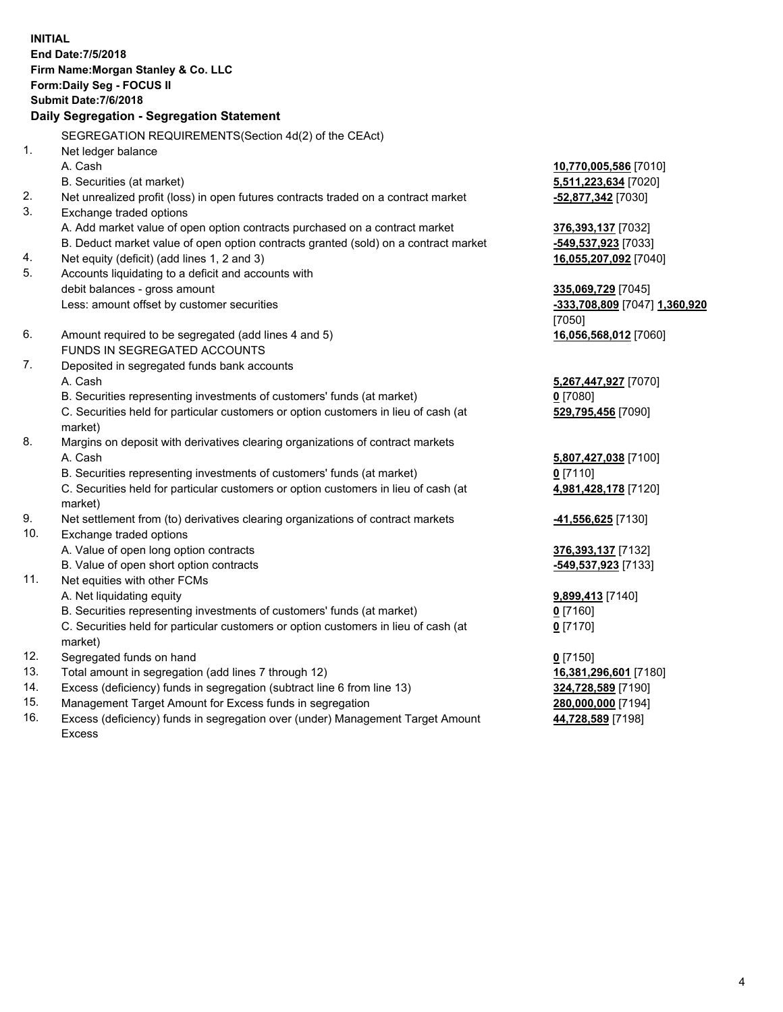**INITIAL End Date:7/5/2018 Firm Name:Morgan Stanley & Co. LLC Form:Daily Seg - FOCUS II Submit Date:7/6/2018 Daily Segregation - Segregation Statement** SEGREGATION REQUIREMENTS(Section 4d(2) of the CEAct) 1. Net ledger balance A. Cash **10,770,005,586** [7010] B. Securities (at market) **5,511,223,634** [7020] 2. Net unrealized profit (loss) in open futures contracts traded on a contract market **-52,877,342** [7030] 3. Exchange traded options A. Add market value of open option contracts purchased on a contract market **376,393,137** [7032] B. Deduct market value of open option contracts granted (sold) on a contract market **-549,537,923** [7033] 4. Net equity (deficit) (add lines 1, 2 and 3) **16,055,207,092** [7040] 5. Accounts liquidating to a deficit and accounts with debit balances - gross amount **335,069,729** [7045] Less: amount offset by customer securities **-333,708,809** [7047] **1,360,920** [7050] 6. Amount required to be segregated (add lines 4 and 5) **16,056,568,012** [7060] FUNDS IN SEGREGATED ACCOUNTS 7. Deposited in segregated funds bank accounts A. Cash **5,267,447,927** [7070] B. Securities representing investments of customers' funds (at market) **0** [7080] C. Securities held for particular customers or option customers in lieu of cash (at market) **529,795,456** [7090] 8. Margins on deposit with derivatives clearing organizations of contract markets A. Cash **5,807,427,038** [7100] B. Securities representing investments of customers' funds (at market) **0** [7110] C. Securities held for particular customers or option customers in lieu of cash (at market) **4,981,428,178** [7120] 9. Net settlement from (to) derivatives clearing organizations of contract markets **-41,556,625** [7130] 10. Exchange traded options A. Value of open long option contracts **376,393,137** [7132] B. Value of open short option contracts **-549,537,923** [7133] 11. Net equities with other FCMs A. Net liquidating equity **9,899,413** [7140] B. Securities representing investments of customers' funds (at market) **0** [7160] C. Securities held for particular customers or option customers in lieu of cash (at market) **0** [7170] 12. Segregated funds on hand **0** [7150] 13. Total amount in segregation (add lines 7 through 12) **16,381,296,601** [7180] 14. Excess (deficiency) funds in segregation (subtract line 6 from line 13) **324,728,589** [7190] 15. Management Target Amount for Excess funds in segregation **280,000,000** [7194]

16. Excess (deficiency) funds in segregation over (under) Management Target Amount Excess

**44,728,589** [7198]